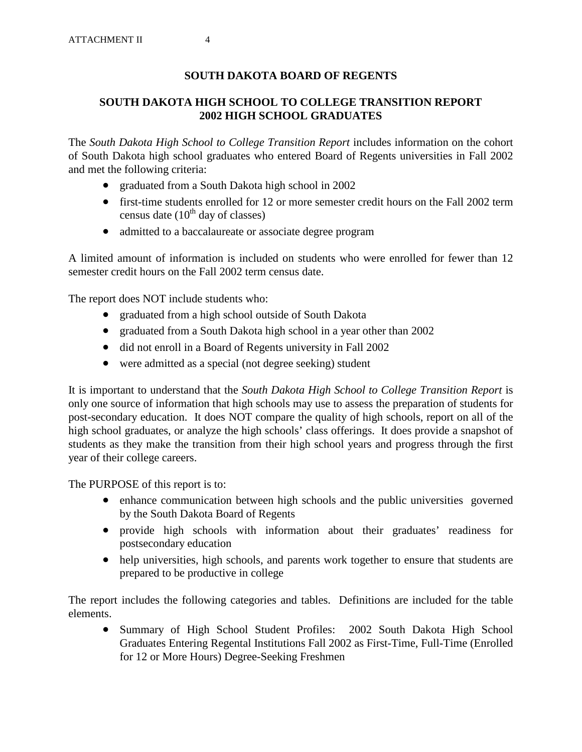# **SOUTH DAKOTA BOARD OF REGENTS**

# **SOUTH DAKOTA HIGH SCHOOL TO COLLEGE TRANSITION REPORT 2002 HIGH SCHOOL GRADUATES**

The *South Dakota High School to College Transition Report* includes information on the cohort of South Dakota high school graduates who entered Board of Regents universities in Fall 2002 and met the following criteria:

- graduated from a South Dakota high school in 2002
- first-time students enrolled for 12 or more semester credit hours on the Fall 2002 term census date  $(10^{th}$  day of classes)
- admitted to a baccalaureate or associate degree program

A limited amount of information is included on students who were enrolled for fewer than 12 semester credit hours on the Fall 2002 term census date.

The report does NOT include students who:

- graduated from a high school outside of South Dakota
- graduated from a South Dakota high school in a year other than 2002
- did not enroll in a Board of Regents university in Fall 2002
- were admitted as a special (not degree seeking) student

It is important to understand that the *South Dakota High School to College Transition Report* is only one source of information that high schools may use to assess the preparation of students for post-secondary education. It does NOT compare the quality of high schools, report on all of the high school graduates, or analyze the high schools' class offerings. It does provide a snapshot of students as they make the transition from their high school years and progress through the first year of their college careers.

The PURPOSE of this report is to:

- enhance communication between high schools and the public universities governed by the South Dakota Board of Regents
- provide high schools with information about their graduates' readiness for postsecondary education
- help universities, high schools, and parents work together to ensure that students are prepared to be productive in college

The report includes the following categories and tables. Definitions are included for the table elements.

• Summary of High School Student Profiles: 2002 South Dakota High School Graduates Entering Regental Institutions Fall 2002 as First-Time, Full-Time (Enrolled for 12 or More Hours) Degree-Seeking Freshmen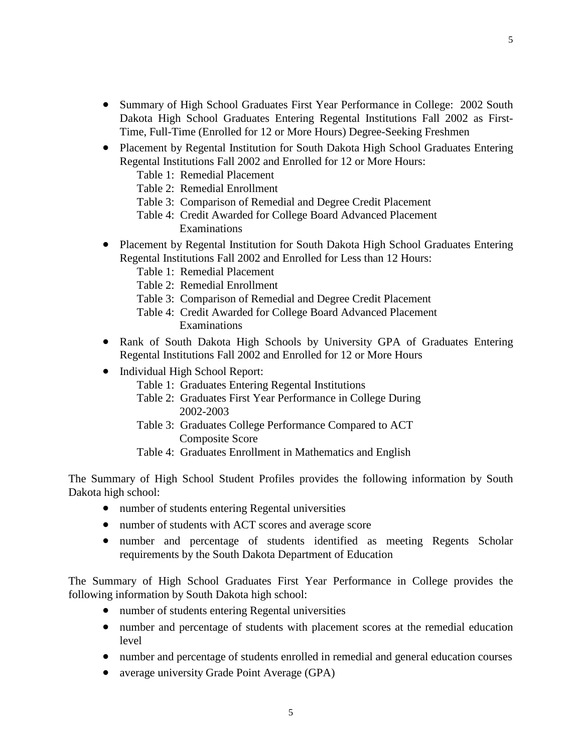- Summary of High School Graduates First Year Performance in College: 2002 South Dakota High School Graduates Entering Regental Institutions Fall 2002 as First-Time, Full-Time (Enrolled for 12 or More Hours) Degree-Seeking Freshmen
- Placement by Regental Institution for South Dakota High School Graduates Entering Regental Institutions Fall 2002 and Enrolled for 12 or More Hours:
	- Table 1: Remedial Placement
	- Table 2: Remedial Enrollment
	- Table 3: Comparison of Remedial and Degree Credit Placement
	- Table 4: Credit Awarded for College Board Advanced Placement Examinations
- Placement by Regental Institution for South Dakota High School Graduates Entering Regental Institutions Fall 2002 and Enrolled for Less than 12 Hours:
	- Table 1: Remedial Placement
	- Table 2: Remedial Enrollment
	- Table 3: Comparison of Remedial and Degree Credit Placement
	- Table 4: Credit Awarded for College Board Advanced Placement Examinations
- Rank of South Dakota High Schools by University GPA of Graduates Entering Regental Institutions Fall 2002 and Enrolled for 12 or More Hours
- Individual High School Report:
	- Table 1: Graduates Entering Regental Institutions
	- Table 2: Graduates First Year Performance in College During 2002-2003
	- Table 3: Graduates College Performance Compared to ACT Composite Score
	- Table 4: Graduates Enrollment in Mathematics and English

The Summary of High School Student Profiles provides the following information by South Dakota high school:

- number of students entering Regental universities
- number of students with ACT scores and average score
- number and percentage of students identified as meeting Regents Scholar requirements by the South Dakota Department of Education

The Summary of High School Graduates First Year Performance in College provides the following information by South Dakota high school:

- number of students entering Regental universities
- number and percentage of students with placement scores at the remedial education level
- number and percentage of students enrolled in remedial and general education courses
- average university Grade Point Average (GPA)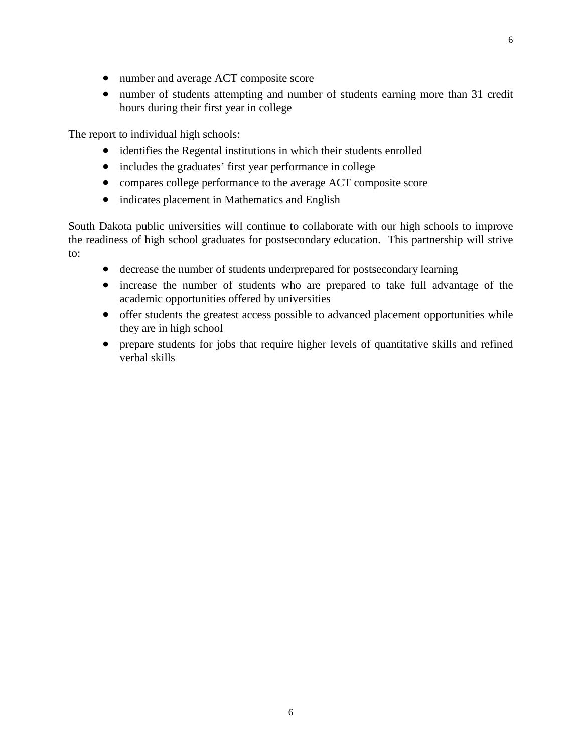- 
- number and average ACT composite score
- number of students attempting and number of students earning more than 31 credit hours during their first year in college

The report to individual high schools:

- identifies the Regental institutions in which their students enrolled
- includes the graduates' first year performance in college
- compares college performance to the average ACT composite score
- indicates placement in Mathematics and English

South Dakota public universities will continue to collaborate with our high schools to improve the readiness of high school graduates for postsecondary education. This partnership will strive to:

- decrease the number of students underprepared for postsecondary learning
- increase the number of students who are prepared to take full advantage of the academic opportunities offered by universities
- offer students the greatest access possible to advanced placement opportunities while they are in high school
- prepare students for jobs that require higher levels of quantitative skills and refined verbal skills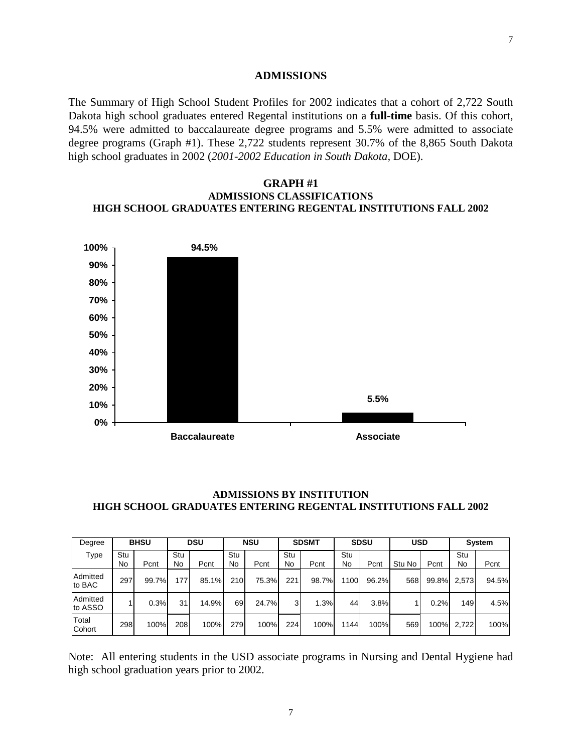### **ADMISSIONS**

The Summary of High School Student Profiles for 2002 indicates that a cohort of 2,722 South Dakota high school graduates entered Regental institutions on a **full-time** basis. Of this cohort, 94.5% were admitted to baccalaureate degree programs and 5.5% were admitted to associate degree programs (Graph #1). These 2,722 students represent 30.7% of the 8,865 South Dakota high school graduates in 2002 (*2001-2002 Education in South Dakota,* DOE).

### **GRAPH #1 ADMISSIONS CLASSIFICATIONS HIGH SCHOOL GRADUATES ENTERING REGENTAL INSTITUTIONS FALL 2002**



## **ADMISSIONS BY INSTITUTION HIGH SCHOOL GRADUATES ENTERING REGENTAL INSTITUTIONS FALL 2002**

| Degree              | <b>BHSU</b> |       | <b>DSU</b> |       | <b>NSU</b> |       | <b>SDSMT</b> |       | <b>SDSU</b> |       | <b>USD</b> |       | System    |       |
|---------------------|-------------|-------|------------|-------|------------|-------|--------------|-------|-------------|-------|------------|-------|-----------|-------|
| Type                | Stu<br>No   | Pcnt  | Stu<br>No  | Pcnt  | Stu<br>No  | Pcnt  | Stu<br>No    | Pcnt  | Stu<br>No   | Pcnt  | Stu No     | Pcnt  | Stu<br>No | Pcnt  |
| Admitted<br>to BAC  | 297         | 99.7% | 177.       | 85.1% | 210        | 75.3% | 221          | 98.7% | 100         | 96.2% | 568        | 99.8% | 2.573     | 94.5% |
| Admitted<br>to ASSO |             | 0.3%  | 31         | 14.9% | 69         | 24.7% | 3            | 1.3%  | 44          | 3.8%  |            | 0.2%  | 149       | 4.5%  |
| Total<br>Cohort     | 298         | 100%  | 208        | 100%  | 279        | 100%  | 224          | 100%  | 144         | 100%  | 569        | 100%  | 2,722     | 100%  |

Note: All entering students in the USD associate programs in Nursing and Dental Hygiene had high school graduation years prior to 2002.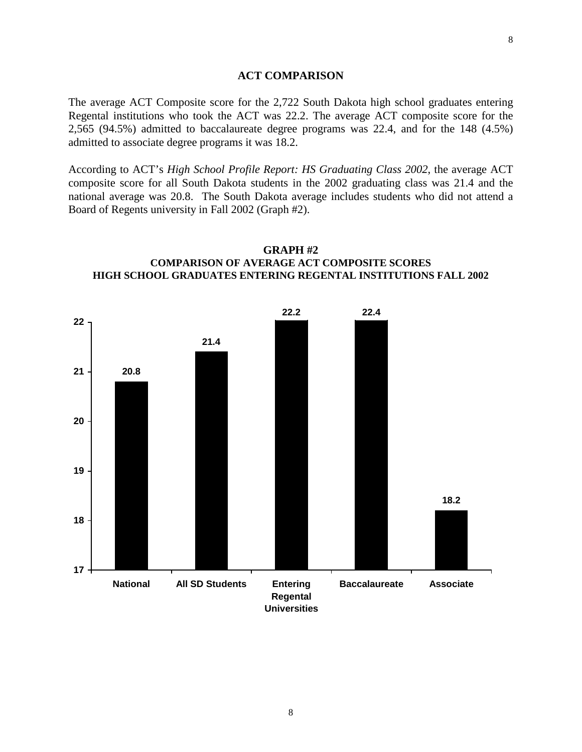### **ACT COMPARISON**

The average ACT Composite score for the 2,722 South Dakota high school graduates entering Regental institutions who took the ACT was 22.2. The average ACT composite score for the 2,565 (94.5%) admitted to baccalaureate degree programs was 22.4, and for the 148 (4.5%) admitted to associate degree programs it was 18.2.

According to ACT's *High School Profile Report: HS Graduating Class 2002*, the average ACT composite score for all South Dakota students in the 2002 graduating class was 21.4 and the national average was 20.8. The South Dakota average includes students who did not attend a Board of Regents university in Fall 2002 (Graph #2).



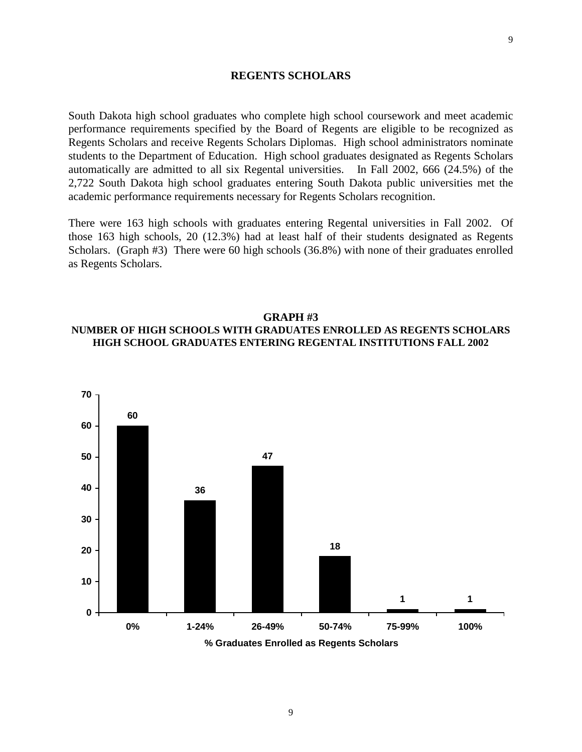### **REGENTS SCHOLARS**

South Dakota high school graduates who complete high school coursework and meet academic performance requirements specified by the Board of Regents are eligible to be recognized as Regents Scholars and receive Regents Scholars Diplomas. High school administrators nominate students to the Department of Education. High school graduates designated as Regents Scholars automatically are admitted to all six Regental universities. In Fall 2002, 666 (24.5%) of the 2,722 South Dakota high school graduates entering South Dakota public universities met the academic performance requirements necessary for Regents Scholars recognition.

There were 163 high schools with graduates entering Regental universities in Fall 2002. Of those 163 high schools, 20 (12.3%) had at least half of their students designated as Regents Scholars. (Graph #3) There were 60 high schools (36.8%) with none of their graduates enrolled as Regents Scholars.

### **GRAPH #3 NUMBER OF HIGH SCHOOLS WITH GRADUATES ENROLLED AS REGENTS SCHOLARS HIGH SCHOOL GRADUATES ENTERING REGENTAL INSTITUTIONS FALL 2002**

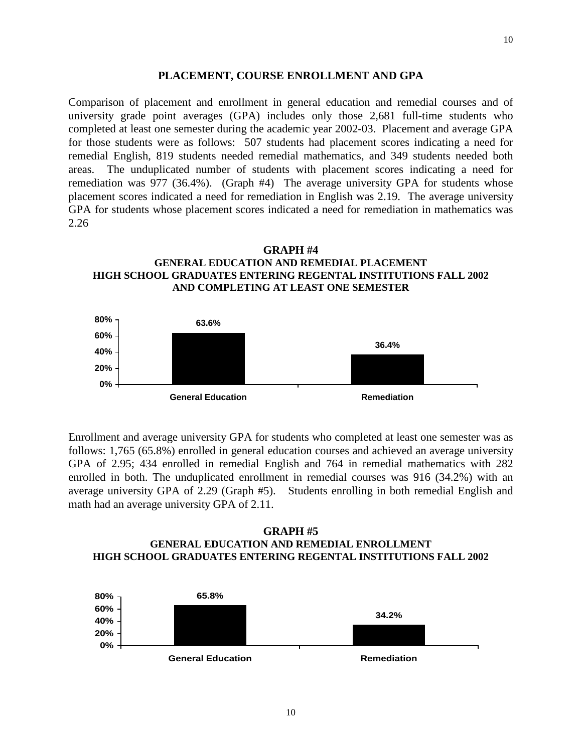### **PLACEMENT, COURSE ENROLLMENT AND GPA**

Comparison of placement and enrollment in general education and remedial courses and of university grade point averages (GPA) includes only those 2,681 full-time students who completed at least one semester during the academic year 2002-03. Placement and average GPA for those students were as follows: 507 students had placement scores indicating a need for remedial English, 819 students needed remedial mathematics, and 349 students needed both areas. The unduplicated number of students with placement scores indicating a need for remediation was 977 (36.4%). (Graph #4) The average university GPA for students whose placement scores indicated a need for remediation in English was 2.19. The average university GPA for students whose placement scores indicated a need for remediation in mathematics was 2.26

**GRAPH #4 GENERAL EDUCATION AND REMEDIAL PLACEMENT HIGH SCHOOL GRADUATES ENTERING REGENTAL INSTITUTIONS FALL 2002 AND COMPLETING AT LEAST ONE SEMESTER**



Enrollment and average university GPA for students who completed at least one semester was as follows: 1,765 (65.8%) enrolled in general education courses and achieved an average university GPA of 2.95; 434 enrolled in remedial English and 764 in remedial mathematics with 282 enrolled in both. The unduplicated enrollment in remedial courses was 916 (34.2%) with an average university GPA of 2.29 (Graph #5). Students enrolling in both remedial English and math had an average university GPA of 2.11.

### **GRAPH #5 GENERAL EDUCATION AND REMEDIAL ENROLLMENT HIGH SCHOOL GRADUATES ENTERING REGENTAL INSTITUTIONS FALL 2002**

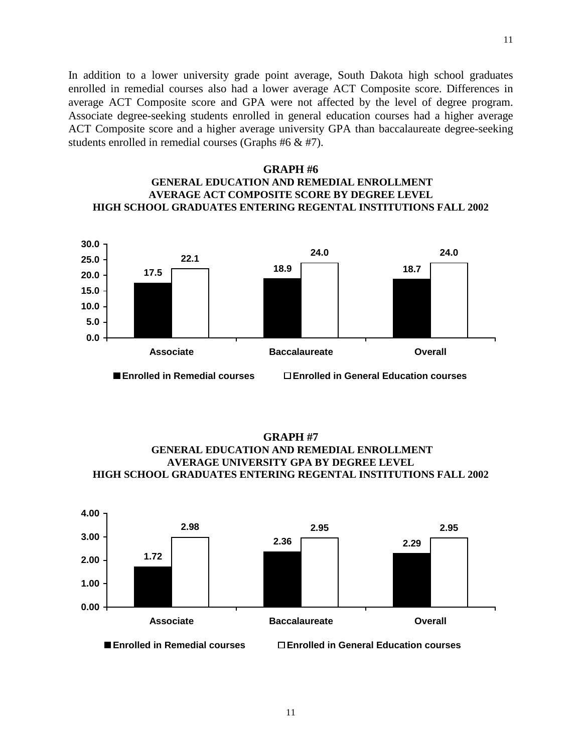In addition to a lower university grade point average, South Dakota high school graduates enrolled in remedial courses also had a lower average ACT Composite score. Differences in average ACT Composite score and GPA were not affected by the level of degree program. Associate degree-seeking students enrolled in general education courses had a higher average ACT Composite score and a higher average university GPA than baccalaureate degree-seeking students enrolled in remedial courses (Graphs #6 & #7).

### **GRAPH #6 GENERAL EDUCATION AND REMEDIAL ENROLLMENT AVERAGE ACT COMPOSITE SCORE BY DEGREE LEVEL HIGH SCHOOL GRADUATES ENTERING REGENTAL INSTITUTIONS FALL 2002**



**GRAPH #7 GENERAL EDUCATION AND REMEDIAL ENROLLMENT AVERAGE UNIVERSITY GPA BY DEGREE LEVEL HIGH SCHOOL GRADUATES ENTERING REGENTAL INSTITUTIONS FALL 2002**

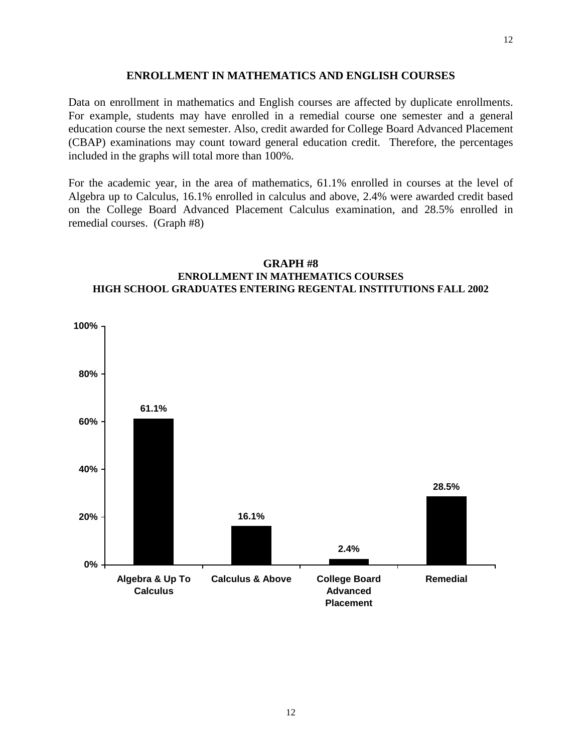### **ENROLLMENT IN MATHEMATICS AND ENGLISH COURSES**

Data on enrollment in mathematics and English courses are affected by duplicate enrollments. For example, students may have enrolled in a remedial course one semester and a general education course the next semester. Also, credit awarded for College Board Advanced Placement (CBAP) examinations may count toward general education credit. Therefore, the percentages included in the graphs will total more than 100%.

For the academic year, in the area of mathematics, 61.1% enrolled in courses at the level of Algebra up to Calculus, 16.1% enrolled in calculus and above, 2.4% were awarded credit based on the College Board Advanced Placement Calculus examination, and 28.5% enrolled in remedial courses. (Graph #8)



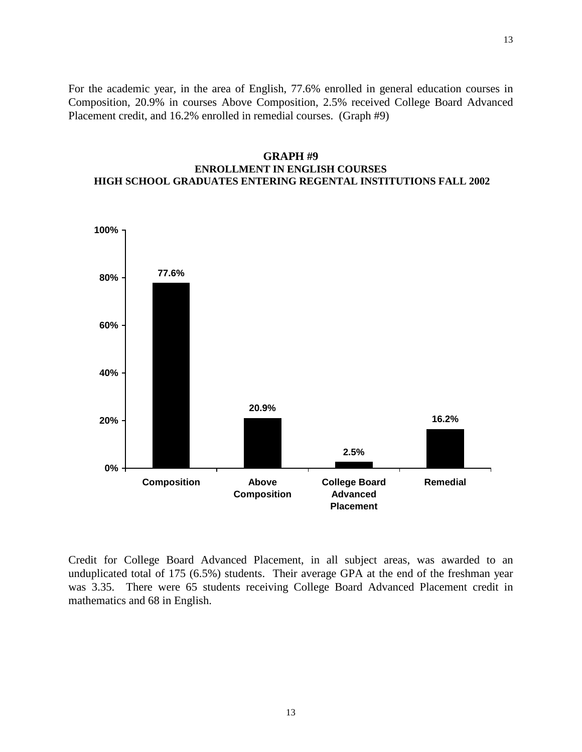For the academic year, in the area of English, 77.6% enrolled in general education courses in Composition, 20.9% in courses Above Composition, 2.5% received College Board Advanced Placement credit, and 16.2% enrolled in remedial courses. (Graph #9)

# **GRAPH #9 ENROLLMENT IN ENGLISH COURSES HIGH SCHOOL GRADUATES ENTERING REGENTAL INSTITUTIONS FALL 2002**



Credit for College Board Advanced Placement, in all subject areas, was awarded to an unduplicated total of 175 (6.5%) students. Their average GPA at the end of the freshman year was 3.35. There were 65 students receiving College Board Advanced Placement credit in mathematics and 68 in English.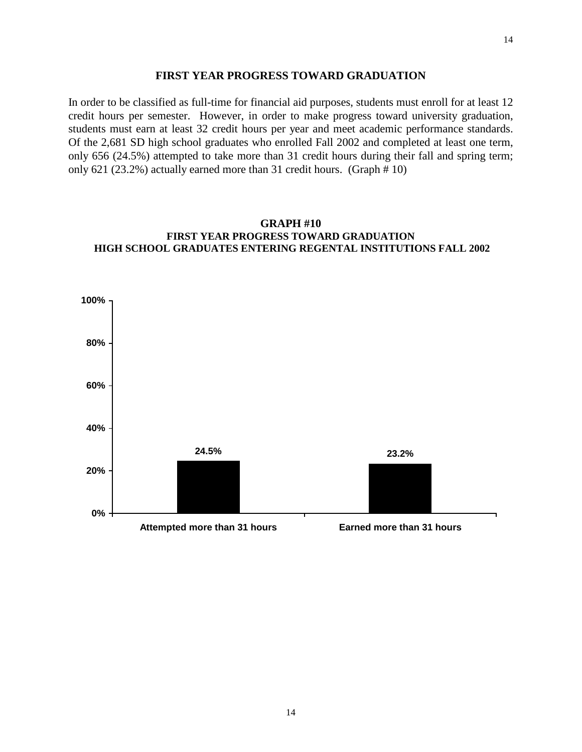#### **FIRST YEAR PROGRESS TOWARD GRADUATION**

In order to be classified as full-time for financial aid purposes, students must enroll for at least 12 credit hours per semester. However, in order to make progress toward university graduation, students must earn at least 32 credit hours per year and meet academic performance standards. Of the 2,681 SD high school graduates who enrolled Fall 2002 and completed at least one term, only 656 (24.5%) attempted to take more than 31 credit hours during their fall and spring term; only 621 (23.2%) actually earned more than 31 credit hours. (Graph # 10)



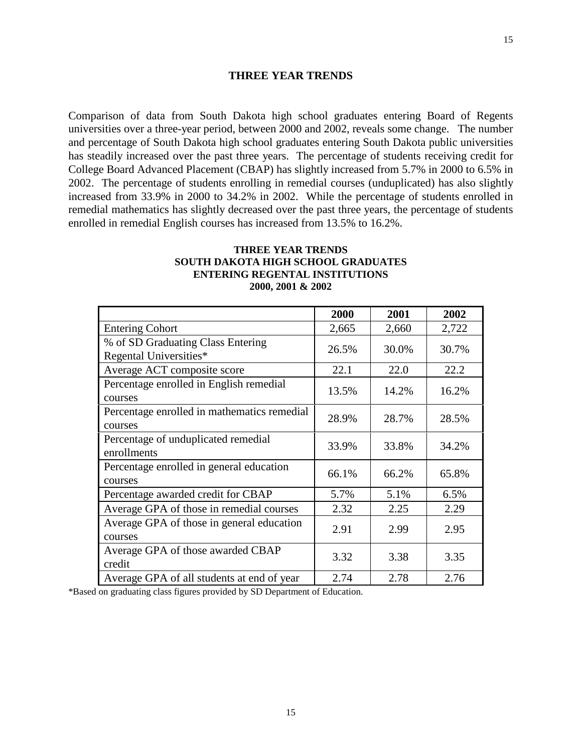# **THREE YEAR TRENDS**

Comparison of data from South Dakota high school graduates entering Board of Regents universities over a three-year period, between 2000 and 2002, reveals some change. The number and percentage of South Dakota high school graduates entering South Dakota public universities has steadily increased over the past three years. The percentage of students receiving credit for College Board Advanced Placement (CBAP) has slightly increased from 5.7% in 2000 to 6.5% in 2002. The percentage of students enrolling in remedial courses (unduplicated) has also slightly increased from 33.9% in 2000 to 34.2% in 2002. While the percentage of students enrolled in remedial mathematics has slightly decreased over the past three years, the percentage of students enrolled in remedial English courses has increased from 13.5% to 16.2%.

### **THREE YEAR TRENDS SOUTH DAKOTA HIGH SCHOOL GRADUATES ENTERING REGENTAL INSTITUTIONS 2000, 2001 & 2002**

|                                                             | 2000  | 2001  | 2002  |
|-------------------------------------------------------------|-------|-------|-------|
| <b>Entering Cohort</b>                                      | 2,665 | 2,660 | 2,722 |
| % of SD Graduating Class Entering<br>Regental Universities* | 26.5% | 30.0% | 30.7% |
| Average ACT composite score                                 | 22.1  | 22.0  | 22.2  |
| Percentage enrolled in English remedial<br>courses          | 13.5% | 14.2% | 16.2% |
| Percentage enrolled in mathematics remedial<br>courses      | 28.9% | 28.7% | 28.5% |
| Percentage of unduplicated remedial<br>enrollments          | 33.9% | 33.8% | 34.2% |
| Percentage enrolled in general education<br>courses         | 66.1% | 66.2% | 65.8% |
| Percentage awarded credit for CBAP                          | 5.7%  | 5.1%  | 6.5%  |
| Average GPA of those in remedial courses                    | 2.32  | 2.25  | 2.29  |
| Average GPA of those in general education<br>courses        | 2.91  | 2.99  | 2.95  |
| Average GPA of those awarded CBAP<br>credit                 | 3.32  | 3.38  | 3.35  |
| Average GPA of all students at end of year                  | 2.74  | 2.78  | 2.76  |

\*Based on graduating class figures provided by SD Department of Education.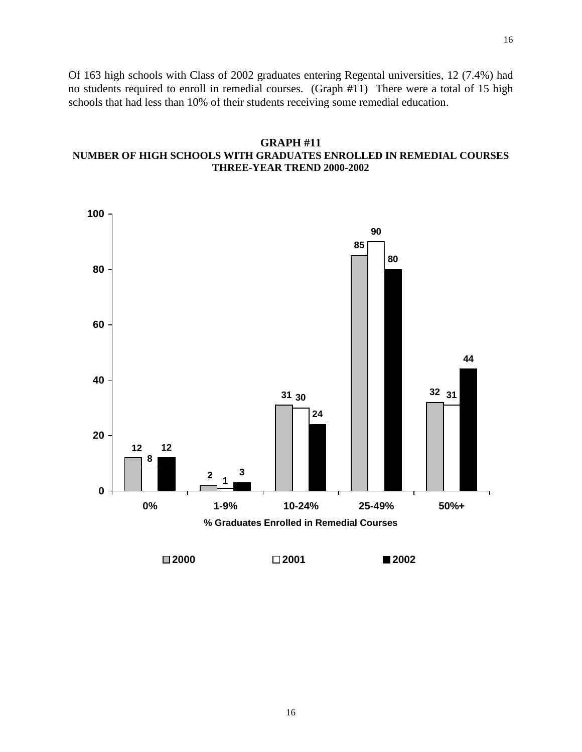Of 163 high schools with Class of 2002 graduates entering Regental universities, 12 (7.4%) had no students required to enroll in remedial courses. (Graph #11) There were a total of 15 high schools that had less than 10% of their students receiving some remedial education.

# **GRAPH #11 NUMBER OF HIGH SCHOOLS WITH GRADUATES ENROLLED IN REMEDIAL COURSES THREE-YEAR TREND 2000-2002**

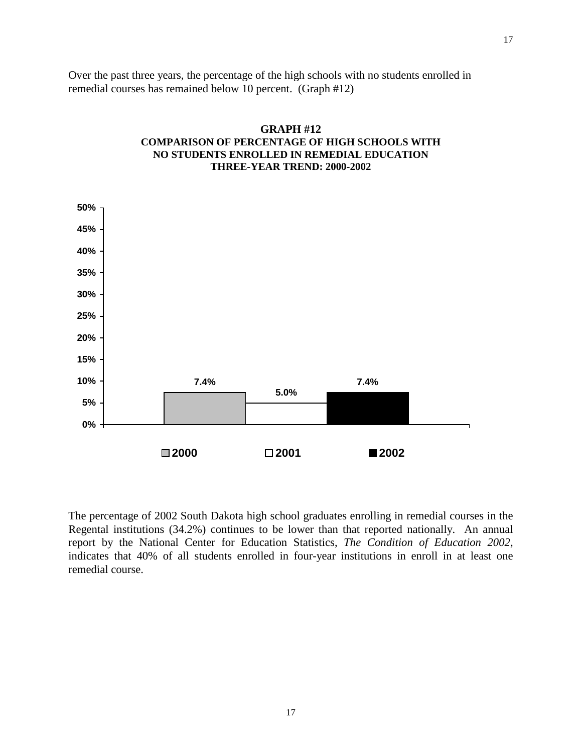Over the past three years, the percentage of the high schools with no students enrolled in remedial courses has remained below 10 percent. (Graph #12)



# **GRAPH #12 COMPARISON OF PERCENTAGE OF HIGH SCHOOLS WITH NO STUDENTS ENROLLED IN REMEDIAL EDUCATION THREE-YEAR TREND: 2000-2002**

The percentage of 2002 South Dakota high school graduates enrolling in remedial courses in the Regental institutions (34.2%) continues to be lower than that reported nationally. An annual report by the National Center for Education Statistics, *The Condition of Education 2002*, indicates that 40% of all students enrolled in four-year institutions in enroll in at least one remedial course.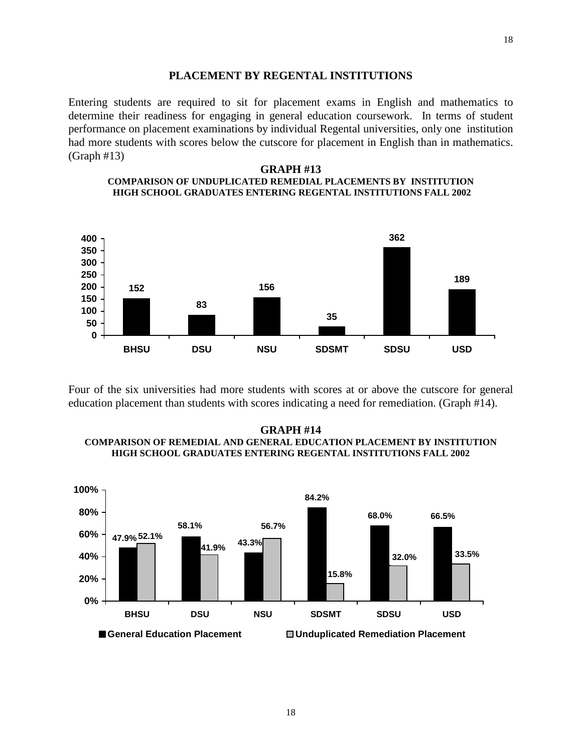#### **PLACEMENT BY REGENTAL INSTITUTIONS**

Entering students are required to sit for placement exams in English and mathematics to determine their readiness for engaging in general education coursework. In terms of student performance on placement examinations by individual Regental universities, only one institution had more students with scores below the cutscore for placement in English than in mathematics. (Graph #13)

#### **GRAPH #13 COMPARISON OF UNDUPLICATED REMEDIAL PLACEMENTS BY INSTITUTION HIGH SCHOOL GRADUATES ENTERING REGENTAL INSTITUTIONS FALL 2002**



Four of the six universities had more students with scores at or above the cutscore for general education placement than students with scores indicating a need for remediation. (Graph #14).

#### **GRAPH #14 COMPARISON OF REMEDIAL AND GENERAL EDUCATION PLACEMENT BY INSTITUTION HIGH SCHOOL GRADUATES ENTERING REGENTAL INSTITUTIONS FALL 2002**

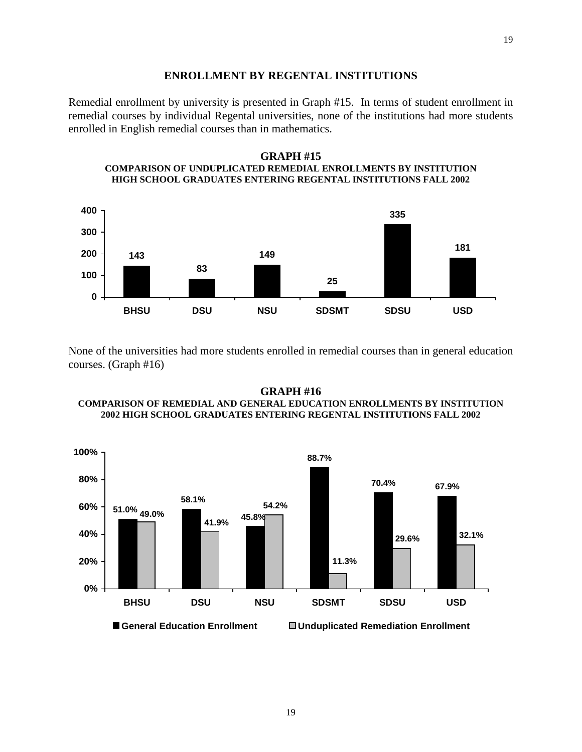#### **ENROLLMENT BY REGENTAL INSTITUTIONS**

Remedial enrollment by university is presented in Graph #15. In terms of student enrollment in remedial courses by individual Regental universities, none of the institutions had more students enrolled in English remedial courses than in mathematics.

#### **GRAPH #15 COMPARISON OF UNDUPLICATED REMEDIAL ENROLLMENTS BY INSTITUTION HIGH SCHOOL GRADUATES ENTERING REGENTAL INSTITUTIONS FALL 2002**



None of the universities had more students enrolled in remedial courses than in general education courses. (Graph #16)

#### **GRAPH #16 COMPARISON OF REMEDIAL AND GENERAL EDUCATION ENROLLMENTS BY INSTITUTION 2002 HIGH SCHOOL GRADUATES ENTERING REGENTAL INSTITUTIONS FALL 2002**

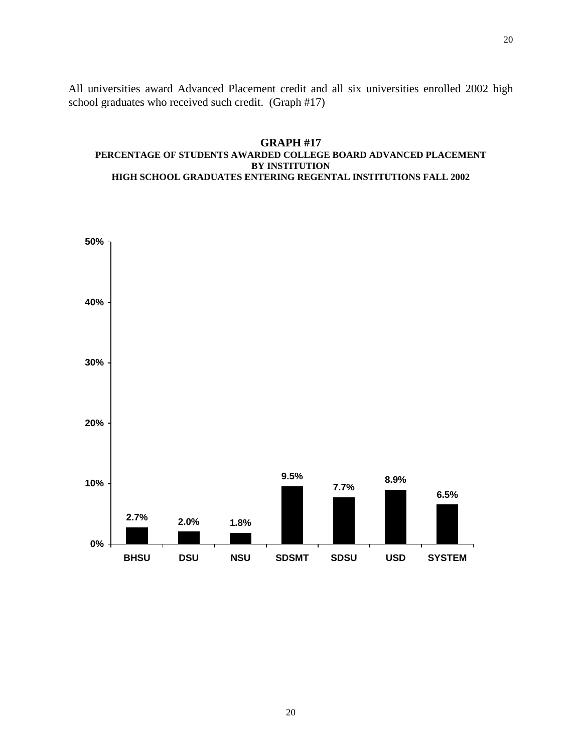All universities award Advanced Placement credit and all six universities enrolled 2002 high school graduates who received such credit. (Graph #17)

### **GRAPH #17 PERCENTAGE OF STUDENTS AWARDED COLLEGE BOARD ADVANCED PLACEMENT BY INSTITUTION HIGH SCHOOL GRADUATES ENTERING REGENTAL INSTITUTIONS FALL 2002**

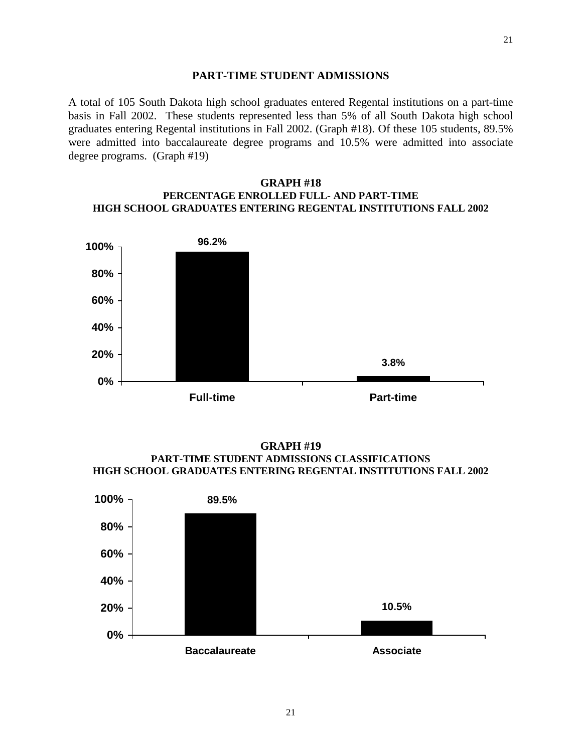### **PART-TIME STUDENT ADMISSIONS**

A total of 105 South Dakota high school graduates entered Regental institutions on a part-time basis in Fall 2002. These students represented less than 5% of all South Dakota high school graduates entering Regental institutions in Fall 2002. (Graph #18). Of these 105 students, 89.5% were admitted into baccalaureate degree programs and 10.5% were admitted into associate degree programs. (Graph #19)

### **GRAPH #18 PERCENTAGE ENROLLED FULL- AND PART-TIME HIGH SCHOOL GRADUATES ENTERING REGENTAL INSTITUTIONS FALL 2002**